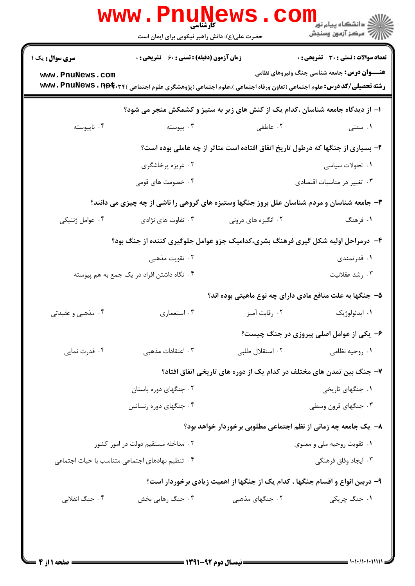|                                                                                            | WWW . PI<br>$\prod_{\omega} U \prod_{\omega} V$<br>حضرت علی(ع): دانش راهبر نیکویی برای ایمان است |                                                                                                                                                  | ڪ دانشڪاه پيام نور<br><mark>√</mark> مرڪز آزمون وسنڊش |  |
|--------------------------------------------------------------------------------------------|--------------------------------------------------------------------------------------------------|--------------------------------------------------------------------------------------------------------------------------------------------------|-------------------------------------------------------|--|
| سری سوال: یک ۱                                                                             | <b>زمان آزمون (دقیقه) : تستی : 60 ٪ تشریحی : 0</b>                                               |                                                                                                                                                  | <b>تعداد سوالات : تستي : 30 ٪ تشريحي : 0</b>          |  |
| www.PnuNews.com                                                                            |                                                                                                  | <b>رشته تحصیلی/کد درس:</b> علوم اجتماعی (تعاون ورفاه اجتماعی )،علوم اجتماعی (پژوهشگری علوم اجتماعی ) <b>www . PnuNews . n<del>et</del> . ۳</b> ۴ | <b>عنـــوان درس:</b> جامعه شناسی جنگ ونیروهای نظامی   |  |
|                                                                                            |                                                                                                  | ۱– از دیدگاه جامعه شناسان ،کدام یک از کنش های زیر به ستیز و کشمکش منجر می شود؟                                                                   |                                                       |  |
| ۰۴ ناپيوسته                                                                                | ۰۳ پیوسته                                                                                        | ۰۲ عاطفی                                                                                                                                         | ۰۱ سنتی                                               |  |
|                                                                                            |                                                                                                  | ۲- بسیاری از جنگها که درطول تاریخ اتفاق افتاده است متاثر از چه عاملی بوده است؟                                                                   |                                                       |  |
|                                                                                            | ۰۲ غریزه پرخاشگری                                                                                |                                                                                                                                                  | ۰۱ تحولات سیاسی                                       |  |
|                                                                                            | ۰۴ خصومت های قومی                                                                                |                                                                                                                                                  | ۰۳ تغییر در مناسبات اقتصادی                           |  |
| ۳- جامعه شناسان و مردم شناسان علل بروز جنگها وستیزه های گروهی را ناشی از چه چیزی می دانند؟ |                                                                                                  |                                                                                                                                                  |                                                       |  |
| ۰۴ عوامل ژنتیکی                                                                            | ۰۳ تفاوت های نژادی                                                                               | ۰۲ انگیزه های درونی                                                                                                                              | ۱. فرهنگ                                              |  |
| ۴- درمراحل اولیه شکل گیری فرهنگ بشری،کدامیک جزو عوامل جلوگیری کننده از جنگ بود؟            |                                                                                                  |                                                                                                                                                  |                                                       |  |
|                                                                                            | ۲. تقویت مذهبی                                                                                   |                                                                                                                                                  | ۰۱ قدرتمندی                                           |  |
|                                                                                            | ۰۴ نگاه داشتن افراد در یک جمع به هم پیوسته                                                       |                                                                                                                                                  | ۰۳ رشد عقلانیت                                        |  |
|                                                                                            |                                                                                                  | ۵– جنگها به علت منافع مادی دارای چه نوع ماهیتی بوده اند؟                                                                                         |                                                       |  |
| ۰۴ مذهبی و عقیدتی                                                                          | ۰۳ استعماري                                                                                      | ۰۲ رقابت آميز                                                                                                                                    | ۰۱ ايدئولوژيک                                         |  |
|                                                                                            |                                                                                                  |                                                                                                                                                  | ۶- یکی از عوامل اصلی پیروزی در جنگ چیست؟              |  |
| ۰۴ قدرت نمایی                                                                              | ۰۳ اعتقادات مذهبی                                                                                | ٠٢ استقلال طلبي                                                                                                                                  | ۰۱ روحیه نظامی                                        |  |
|                                                                                            |                                                                                                  | ۷– جنگ بین تمدن های مختلف در کدام یک از دوره های تاریخی اتفاق افتاد؟                                                                             |                                                       |  |
|                                                                                            | ۰۲ جنگهای دوره باستان                                                                            |                                                                                                                                                  | ٠١. جنگهای تاريخي                                     |  |
|                                                                                            | ۰۴ جنگهای دوره رنسانس                                                                            |                                                                                                                                                  | ۰۳ جنگهای قرون وسطی                                   |  |
|                                                                                            |                                                                                                  | ۸– یک جامعه چه زمانی از نظم اجتماعی مطلوبی برخوردار خواهد بود؟                                                                                   |                                                       |  |
|                                                                                            | ۰۲ مداخله مستقیم دولت در امور کشور                                                               | ۰۱ تقویت روحیه ملی و معنوی                                                                                                                       |                                                       |  |
| ۰۴ تنظیم نهادهای اجتماعی متناسب با حیات اجتماعی                                            |                                                                                                  |                                                                                                                                                  | ۰۳ ایجاد وفاق فرهنگی                                  |  |
|                                                                                            |                                                                                                  | ۹- دربین انواع و اقسام جنگها ، کدام یک از جنگها از اهمیت زیادی برخوردار است؟                                                                     |                                                       |  |
| ۰۴ جنگ انقلابی                                                                             | ۰۳ جنگ رهایی بخش                                                                                 | ۰۲ جنگهای مذهبی                                                                                                                                  | ١. جنگ چريکي                                          |  |
|                                                                                            |                                                                                                  |                                                                                                                                                  |                                                       |  |
|                                                                                            |                                                                                                  |                                                                                                                                                  |                                                       |  |
|                                                                                            |                                                                                                  |                                                                                                                                                  |                                                       |  |

 $= 1.1 - (1.1.11)$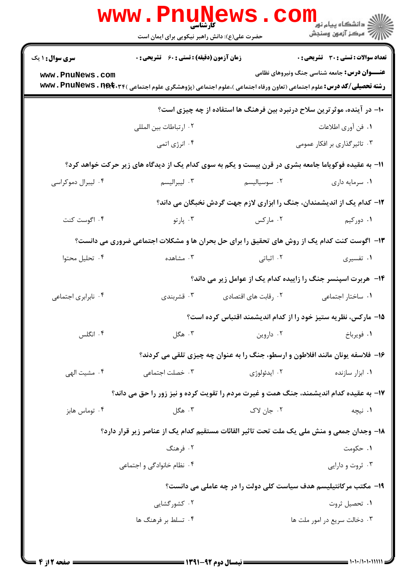|                                                                                             | <b>WWW.PNUNEWS</b><br>حضرت علی(ع): دانش راهبر نیکویی برای ایمان است                                                                            | ر دانشڪاه پيام نور ■<br>// مرکز آزمون وسنڊش                      |             |  |
|---------------------------------------------------------------------------------------------|------------------------------------------------------------------------------------------------------------------------------------------------|------------------------------------------------------------------|-------------|--|
| <b>سری سوال : ۱ یک</b>                                                                      | <b>زمان آزمون (دقیقه) : تستی : 60 ٪ تشریحی : 0</b>                                                                                             | <b>تعداد سوالات : تستي : 30 ٪ تشريحي : 0</b>                     |             |  |
| www.PnuNews.com                                                                             | <b>رشته تحصیلی/کد درس:</b> علوم اجتماعی (تعاون ورفاه اجتماعی )،علوم اجتماعی (پژوهشگری علوم اجتماعی ) <b>www . PnuNews . n<del>et</del></b> .۳۴ | <b>عنـــوان درس:</b> جامعه شناسی جنگ ونیروهای نظامی              |             |  |
| ∙ا− در آینده، موثرترین سلاح درنبرد بین فرهنگ ها استفاده از چه چیزی است؟                     |                                                                                                                                                |                                                                  |             |  |
|                                                                                             | ٠٢ ارتباطات بين المللي                                                                                                                         | ٠١. فن أوري اطلاعات                                              |             |  |
|                                                                                             | ۰۴ انرژی اتمی                                                                                                                                  | ۰۳ تاثیر گذاری بر افکار عمومی                                    |             |  |
|                                                                                             | 11- به عقیده فوکویاما جامعه بشری در قرن بیست و یکم به سوی کدام یک از دیدگاه های زیر حرکت خواهد کرد؟                                            |                                                                  |             |  |
| ۰۴ لیبرال دموکراسی                                                                          | ۰۳ ليبراليسم                                                                                                                                   | ۰۲ سوسیالیسم<br>۰۱ سرمایه داری                                   |             |  |
| <b>۱۲</b> - کدام یک از اندیشمندان، جنگ را ابزاری لازم جهت گردش نخبگان می داند؟              |                                                                                                                                                |                                                                  |             |  |
| ۰۴ اگوست کنت                                                                                | ۰۳ پارتو                                                                                                                                       | ۰۲ مارکس                                                         | ۰۱ دورکیم   |  |
| ۱۳- اگوست کنت کدام یک از روش های تحقیق را برای حل بحران ها و مشکلات اجتماعی ضروری می دانست؟ |                                                                                                                                                |                                                                  |             |  |
| ۰۴ تحلیل محتوا                                                                              | ۰۳ مشاهده                                                                                                                                      | ۲. اثباتی                                                        | ۰۱ تفسیری   |  |
|                                                                                             |                                                                                                                                                | ۱۴- هربرت اسپنسر جنگ را زاییده کدام یک از عوامل زیر می داند؟     |             |  |
| ۰۴ نابرابری اجتماعی                                                                         | ۰۳ قشربندی                                                                                                                                     | ٠١. ساختار اجتماعي<br>۰۲ رقابت های اقتصادی                       |             |  |
|                                                                                             |                                                                                                                                                | ۱۵– مارکس، نظریه ستیز خود را از کدام اندیشمند اقتباس کرده است؟   |             |  |
| ۰۴ انگلس                                                                                    | ۰۳ هگل                                                                                                                                         | ۰۲ داروین                                                        | ٠١. فويرباخ |  |
| ۱۶- فلاسفه یونان مانند افلاطون و ارسطو، جنگ را به عنوان چه چیزی تلقی می کردند؟              |                                                                                                                                                |                                                                  |             |  |
| ۰۴ مشيت الهي                                                                                | ۰۳ خصلت اجتماعی                                                                                                                                | ۰۲ ايدئولوژي<br>۰۱ ابزار سازنده                                  |             |  |
|                                                                                             | ۱۷- به عقیده کدام اندیشمند، جنگ همت و غیرت مردم را تقویت کرده و نیز زور را حق می داند؟                                                         |                                                                  |             |  |
| ۰۴ توماس هابز                                                                               | ۰۳ هگل                                                                                                                                         | ۰۲ جان لاک                                                       | ۰۱ نیچه     |  |
|                                                                                             | ۱۸- وجدان جمعی و منش ملی یک ملت تحت تاثیر القائات مستقیم کدام یک از عناصر زیر قرار دارد؟                                                       |                                                                  |             |  |
|                                                                                             | ۰۲ فرهنگ                                                                                                                                       |                                                                  | ۰۱ حکومت    |  |
|                                                                                             | ۰۴ نظام خانوادگی و اجتماعی                                                                                                                     | ۰۳ ثروت و دارایی                                                 |             |  |
|                                                                                             |                                                                                                                                                | ۱۹- مکتب مرکانتیلیسم هدف سیاست کلی دولت را در چه عاملی می دانست؟ |             |  |
|                                                                                             | ۰۲ کشور گشایی                                                                                                                                  | ۰۱ تحصیل ثروت                                                    |             |  |
|                                                                                             | ۰۴ تسلط بر فرهنگ ها                                                                                                                            | ۰۳ دخالت سريع در امور ملت ها                                     |             |  |
|                                                                                             |                                                                                                                                                |                                                                  |             |  |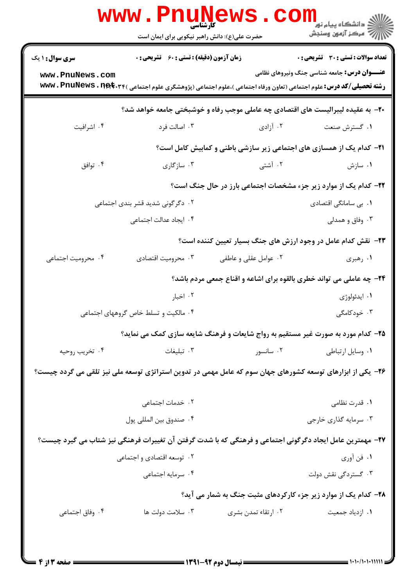|                                                                                                            | <b>WWW.PHUINE</b><br>حضرت علی(ع): دانش راهبر نیکویی برای ایمان است                                                                               |                       | ڪ دانشڪاه پيا <sub>م</sub> نور<br><mark>√</mark> مرڪز آزمون وسنڊش            |  |
|------------------------------------------------------------------------------------------------------------|--------------------------------------------------------------------------------------------------------------------------------------------------|-----------------------|------------------------------------------------------------------------------|--|
| <b>سری سوال : ۱ یک</b>                                                                                     | <b>زمان آزمون (دقیقه) : تستی : 60 ٪ تشریحی : 0</b>                                                                                               |                       | تعداد سوالات : تستي : 30 ٪ تشريحي : 0                                        |  |
| www.PnuNews.com                                                                                            | <b>رشته تحصیلی/کد درس:</b> علوم اجتماعی (تعاون ورفاه اجتماعی )،علوم اجتماعی (پژوهشگری علوم اجتماعی ) <b>www . PnuNews . n<del>et</del> . ۳</b> ۴ |                       | <b>عنـــوان درس:</b> جامعه شناسی جنگ ونیروهای نظامی                          |  |
| +۲- به عقیده لیبرالیست های اقتصادی چه عاملی موجب رفاه و خوشبختی جامعه خواهد شد؟                            |                                                                                                                                                  |                       |                                                                              |  |
| ۰۴ اشرافیت                                                                                                 | ۰۳ اصالت فرد                                                                                                                                     | ۰۲ آزادی              | ۰۱ گسترش صنعت                                                                |  |
|                                                                                                            |                                                                                                                                                  |                       | <b>۲۱</b> - کدام یک از همسازی های اجتماعی زیر سازشی باطنی و کمابیش کامل است؟ |  |
| ۰۴ توافق                                                                                                   | ۰۳ سازگاری                                                                                                                                       | ۲. آشتی               | ۰۱ سازش                                                                      |  |
|                                                                                                            |                                                                                                                                                  |                       | ۲۲- کدام یک از موارد زیر جزء مشخصات اجتماعی بارز در حال جنگ است؟             |  |
|                                                                                                            | ۰۲ دگرگونی شدید قشر بندی اجتماعی                                                                                                                 |                       | ۰۱ بی سامانگی اقتصادی                                                        |  |
|                                                                                                            | ۰۴ ایجاد عدالت اجتماعی                                                                                                                           |                       | ۰۳ وفاق و همدلی                                                              |  |
|                                                                                                            |                                                                                                                                                  |                       | ۲۳- نقش کدام عامل در وجود ارزش های جنگ بسیار تعیین کننده است؟                |  |
| ۰۴ محرومیت اجتماعی                                                                                         | ۰۳ محرومیت اقتصادی                                                                                                                               | ۰۲ عوامل عقلی و عاطفی | ۰۱ رهبری                                                                     |  |
|                                                                                                            |                                                                                                                                                  |                       | ۲۴- چه عاملی می تواند خطری بالقوه برای اشاعه و اقناع جمعی مردم باشد؟         |  |
|                                                                                                            | ۰۲ اخبار                                                                                                                                         |                       | ۰۱ ايدئولوژي                                                                 |  |
|                                                                                                            | ۰۴ مالکیت و تسلط خاص گروههای اجتماعی                                                                                                             |                       | ۰۳ خودکامگی                                                                  |  |
|                                                                                                            | ۲۵- کدام مورد به صورت غیر مستقیم به رواج شایعات و فرهنگ شایعه سازی کمک می نماید؟                                                                 |                       |                                                                              |  |
| ۰۴ تخريب روحيه                                                                                             | ۰۳ تبلیغات                                                                                                                                       | ۰۲ سانسور استانسور    | ٠١ وسايل ارتباطي                                                             |  |
| ۲۶– یکی از ابزارهای توسعه کشورهای جهان سوم که عامل مهمی در تدوین استراتژی توسعه ملی نیز تلقی می گردد چیست؟ |                                                                                                                                                  |                       |                                                                              |  |
|                                                                                                            | ٠٢ خدمات اجتماعى                                                                                                                                 |                       | ۰۱ قدرت نظامی                                                                |  |
|                                                                                                            | ۰۴ صندوق بين المللي پول                                                                                                                          |                       | ۰۳ سرمایه گذاری خارجی                                                        |  |
|                                                                                                            | ۲۷- مهمترین عامل ایجاد دگرگونی اجتماعی و فرهنگی که با شدت گرفتن آن تغییرات فرهنگی نیز شتاب می گیرد چیست؟                                         |                       |                                                                              |  |
|                                                                                                            | ۰۲ توسعه اقتصادی و اجتماعی                                                                                                                       |                       | ۱. فن أوري                                                                   |  |
|                                                                                                            | ۰۴ سرمايه اجتماعي                                                                                                                                |                       | ۰۳ گستردگی نقش دولت                                                          |  |
| ۲۸- کدام یک از موارد زیر جزء کارکردهای مثبت جنگ به شمار می آید؟                                            |                                                                                                                                                  |                       |                                                                              |  |
| ۰۴ وفاق اجتماعی                                                                                            | ۰۳ سلامت دولت ها                                                                                                                                 | ۰۲ ارتقاء تمدن بشری   | ۰۱ ازدياد جمعيت                                                              |  |
|                                                                                                            |                                                                                                                                                  |                       |                                                                              |  |